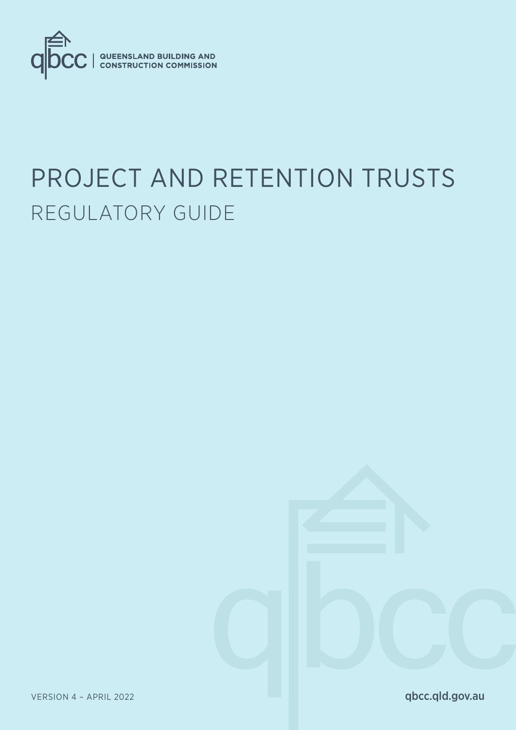

# PROJECT AND RETENTION TRUSTS REGULATORY GUIDE

VERSION 4 - APRIL 2022

qbcc.qld.gov.au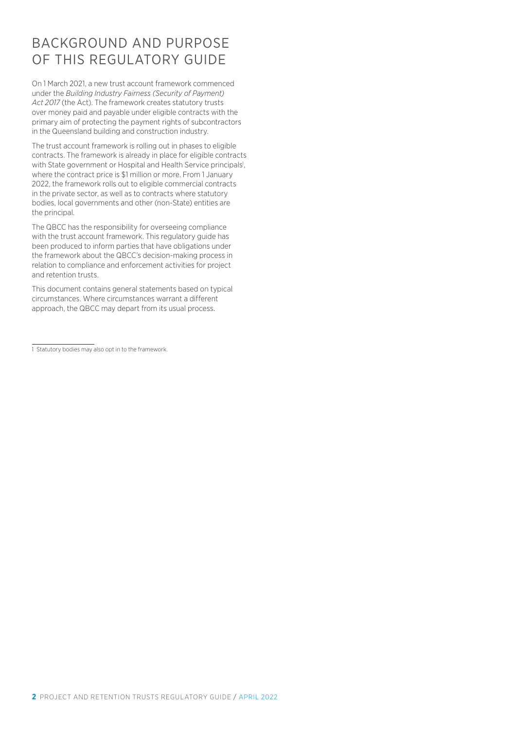### BACKGROUND AND PURPOSE OF THIS REGULATORY GUIDE

On 1 March 2021, a new trust account framework commenced under the *Building Industry Fairness (Security of Payment) Act 2017* (the Act). The framework creates statutory trusts over money paid and payable under eligible contracts with the primary aim of protecting the payment rights of subcontractors in the Queensland building and construction industry.

The trust account framework is rolling out in phases to eligible contracts. The framework is already in place for eligible contracts with State government or Hospital and Health Service principals<sup>1</sup>, where the contract price is \$1 million or more. From 1 January 2022, the framework rolls out to eligible commercial contracts in the private sector, as well as to contracts where statutory bodies, local governments and other (non-State) entities are the principal.

The QBCC has the responsibility for overseeing compliance with the trust account framework. This regulatory guide has been produced to inform parties that have obligations under the framework about the QBCC's decision-making process in relation to compliance and enforcement activities for project and retention trusts.

This document contains general statements based on typical circumstances. Where circumstances warrant a different approach, the QBCC may depart from its usual process.

<sup>1</sup> Statutory bodies may also opt in to the framework.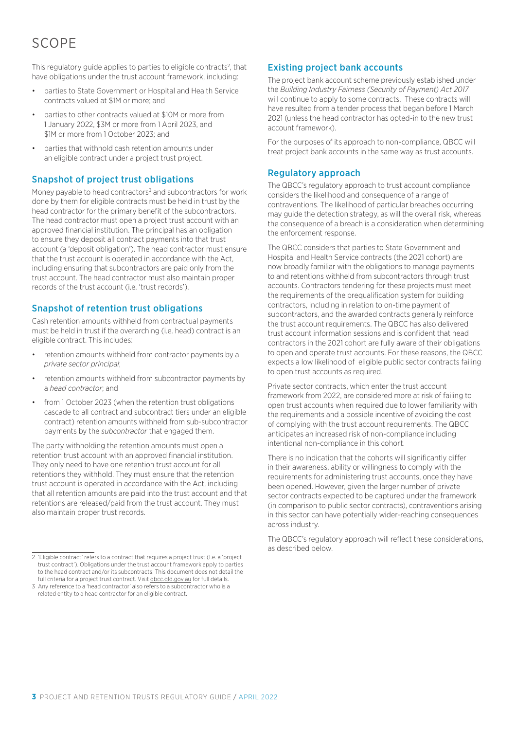## SCOPE

This regulatory guide applies to parties to eligible contracts<sup>2</sup>, that have obligations under the trust account framework, including:

- parties to State Government or Hospital and Health Service contracts valued at \$1M or more; and
- parties to other contracts valued at \$10M or more from 1 January 2022, \$3M or more from 1 April 2023, and \$1M or more from 1 October 2023; and
- parties that withhold cash retention amounts under an eligible contract under a project trust project.

#### Snapshot of project trust obligations

Money payable to head contractors<sup>3</sup> and subcontractors for work done by them for eligible contracts must be held in trust by the head contractor for the primary benefit of the subcontractors. The head contractor must open a project trust account with an approved financial institution. The principal has an obligation to ensure they deposit all contract payments into that trust account (a 'deposit obligation'). The head contractor must ensure that the trust account is operated in accordance with the Act, including ensuring that subcontractors are paid only from the trust account. The head contractor must also maintain proper records of the trust account (i.e. 'trust records').

#### Snapshot of retention trust obligations

Cash retention amounts withheld from contractual payments must be held in trust if the overarching (i.e. head) contract is an eligible contract. This includes:

- retention amounts withheld from contractor payments by a *private sector principal*;
- retention amounts withheld from subcontractor payments by a *head contractor*; and
- from 1 October 2023 (when the retention trust obligations cascade to all contract and subcontract tiers under an eligible contract) retention amounts withheld from sub-subcontractor payments by the *subcontractor* that engaged them.

The party withholding the retention amounts must open a retention trust account with an approved financial institution. They only need to have one retention trust account for all retentions they withhold. They must ensure that the retention trust account is operated in accordance with the Act, including that all retention amounts are paid into the trust account and that retentions are released/paid from the trust account. They must also maintain proper trust records.

2 'Eligible contract' refers to a contract that requires a project trust (I.e. a 'project trust contract'). Obligations under the trust account framework apply to parties to the head contract and/or its subcontracts. This document does not detail the full criteria for a project trust contract. Visit gbcc.qld.gov.au for full details.

#### Existing project bank accounts

The project bank account scheme previously established under the *Building Industry Fairness (Security of Payment) Act 2017* will continue to apply to some contracts. These contracts will have resulted from a tender process that began before 1 March 2021 (unless the head contractor has opted-in to the new trust account framework).

For the purposes of its approach to non-compliance, QBCC will treat project bank accounts in the same way as trust accounts.

#### Regulatory approach

The QBCC's regulatory approach to trust account compliance considers the likelihood and consequence of a range of contraventions. The likelihood of particular breaches occurring may guide the detection strategy, as will the overall risk, whereas the consequence of a breach is a consideration when determining the enforcement response.

The QBCC considers that parties to State Government and Hospital and Health Service contracts (the 2021 cohort) are now broadly familiar with the obligations to manage payments to and retentions withheld from subcontractors through trust accounts. Contractors tendering for these projects must meet the requirements of the prequalification system for building contractors, including in relation to on-time payment of subcontractors, and the awarded contracts generally reinforce the trust account requirements. The QBCC has also delivered trust account information sessions and is confident that head contractors in the 2021 cohort are fully aware of their obligations to open and operate trust accounts. For these reasons, the QBCC expects a low likelihood of eligible public sector contracts failing to open trust accounts as required.

Private sector contracts, which enter the trust account framework from 2022, are considered more at risk of failing to open trust accounts when required due to lower familiarity with the requirements and a possible incentive of avoiding the cost of complying with the trust account requirements. The QBCC anticipates an increased risk of non-compliance including intentional non-compliance in this cohort.

There is no indication that the cohorts will significantly differ in their awareness, ability or willingness to comply with the requirements for administering trust accounts, once they have been opened. However, given the larger number of private sector contracts expected to be captured under the framework (in comparison to public sector contracts), contraventions arising in this sector can have potentially wider-reaching consequences across industry.

The QBCC's regulatory approach will reflect these considerations, as described below.

<sup>3</sup> Any reference to a 'head contractor' also refers to a subcontractor who is a related entity to a head contractor for an eligible contract.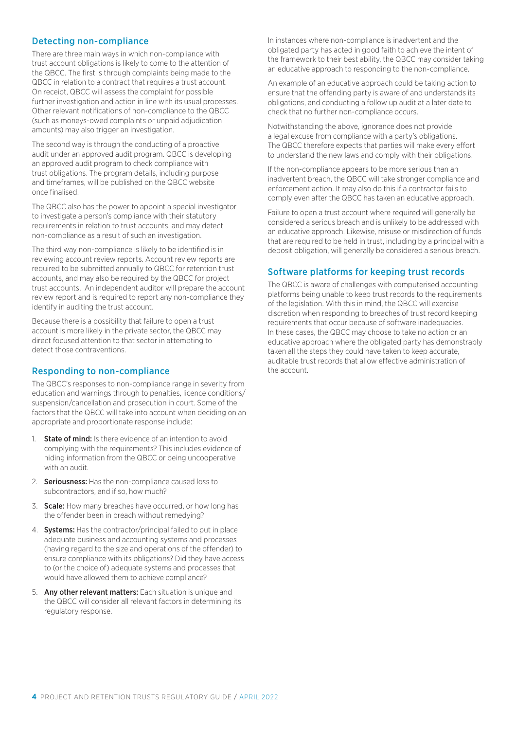#### Detecting non-compliance

There are three main ways in which non-compliance with trust account obligations is likely to come to the attention of the QBCC. The first is through complaints being made to the QBCC in relation to a contract that requires a trust account. On receipt, QBCC will assess the complaint for possible further investigation and action in line with its usual processes. Other relevant notifications of non-compliance to the QBCC (such as moneys-owed complaints or unpaid adjudication amounts) may also trigger an investigation.

The second way is through the conducting of a proactive audit under an approved audit program. QBCC is developing an approved audit program to check compliance with trust obligations. The program details, including purpose and timeframes, will be published on the QBCC website once finalised.

The QBCC also has the power to appoint a special investigator to investigate a person's compliance with their statutory requirements in relation to trust accounts, and may detect non-compliance as a result of such an investigation.

The third way non-compliance is likely to be identified is in reviewing account review reports. Account review reports are required to be submitted annually to QBCC for retention trust accounts, and may also be required by the QBCC for project trust accounts. An independent auditor will prepare the account review report and is required to report any non-compliance they identify in auditing the trust account.

Because there is a possibility that failure to open a trust account is more likely in the private sector, the QBCC may direct focused attention to that sector in attempting to detect those contraventions.

#### Responding to non-compliance

The QBCC's responses to non-compliance range in severity from education and warnings through to penalties, licence conditions/ suspension/cancellation and prosecution in court. Some of the factors that the QBCC will take into account when deciding on an appropriate and proportionate response include:

- 1. **State of mind:** Is there evidence of an intention to avoid complying with the requirements? This includes evidence of hiding information from the QBCC or being uncooperative with an audit.
- 2. **Seriousness:** Has the non-compliance caused loss to subcontractors, and if so, how much?
- 3. Scale: How many breaches have occurred, or how long has the offender been in breach without remedying?
- 4. **Systems:** Has the contractor/principal failed to put in place adequate business and accounting systems and processes (having regard to the size and operations of the offender) to ensure compliance with its obligations? Did they have access to (or the choice of) adequate systems and processes that would have allowed them to achieve compliance?
- 5. Any other relevant matters: Each situation is unique and the QBCC will consider all relevant factors in determining its regulatory response.

In instances where non-compliance is inadvertent and the obligated party has acted in good faith to achieve the intent of the framework to their best ability, the QBCC may consider taking an educative approach to responding to the non-compliance.

An example of an educative approach could be taking action to ensure that the offending party is aware of and understands its obligations, and conducting a follow up audit at a later date to check that no further non-compliance occurs.

Notwithstanding the above, ignorance does not provide a legal excuse from compliance with a party's obligations. The QBCC therefore expects that parties will make every effort to understand the new laws and comply with their obligations.

If the non-compliance appears to be more serious than an inadvertent breach, the QBCC will take stronger compliance and enforcement action. It may also do this if a contractor fails to comply even after the QBCC has taken an educative approach.

Failure to open a trust account where required will generally be considered a serious breach and is unlikely to be addressed with an educative approach. Likewise, misuse or misdirection of funds that are required to be held in trust, including by a principal with a deposit obligation, will generally be considered a serious breach.

#### Software platforms for keeping trust records

The QBCC is aware of challenges with computerised accounting platforms being unable to keep trust records to the requirements of the legislation. With this in mind, the QBCC will exercise discretion when responding to breaches of trust record keeping requirements that occur because of software inadequacies. In these cases, the QBCC may choose to take no action or an educative approach where the obligated party has demonstrably taken all the steps they could have taken to keep accurate, auditable trust records that allow effective administration of the account.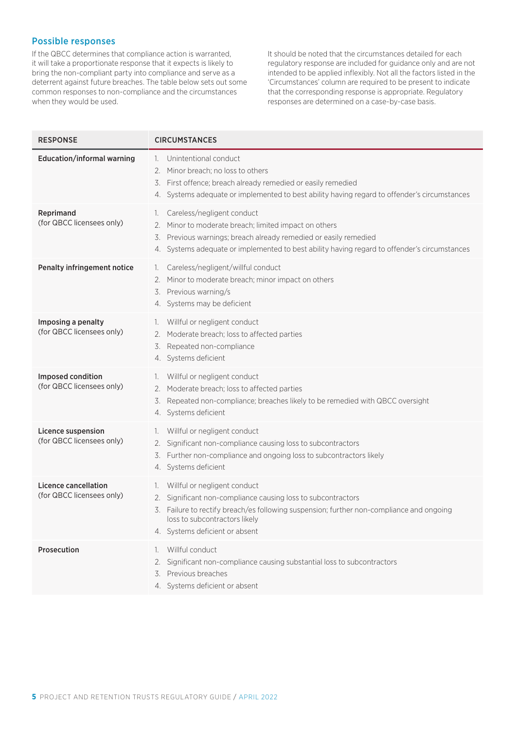#### Possible responses

If the QBCC determines that compliance action is warranted, it will take a proportionate response that it expects is likely to bring the non-compliant party into compliance and serve as a deterrent against future breaches. The table below sets out some common responses to non-compliance and the circumstances when they would be used.

It should be noted that the circumstances detailed for each regulatory response are included for guidance only and are not intended to be applied inflexibly. Not all the factors listed in the 'Circumstances' column are required to be present to indicate that the corresponding response is appropriate. Regulatory responses are determined on a case-by-case basis.

| <b>RESPONSE</b>                                          | <b>CIRCUMSTANCES</b>                                                                                                                                                                                                                                                |
|----------------------------------------------------------|---------------------------------------------------------------------------------------------------------------------------------------------------------------------------------------------------------------------------------------------------------------------|
| <b>Education/informal warning</b>                        | Unintentional conduct<br>$\mathbb{L}$<br>Minor breach; no loss to others<br>2.<br>First offence; breach already remedied or easily remedied<br>3.<br>4. Systems adequate or implemented to best ability having regard to offender's circumstances                   |
| Reprimand<br>(for QBCC licensees only)                   | Careless/negligent conduct<br>Ι.<br>Minor to moderate breach; limited impact on others<br>2.<br>Previous warnings; breach already remedied or easily remedied<br>3.<br>4. Systems adequate or implemented to best ability having regard to offender's circumstances |
| Penalty infringement notice                              | Careless/negligent/willful conduct<br>1.<br>Minor to moderate breach; minor impact on others<br>2.<br>3. Previous warning/s<br>4. Systems may be deficient                                                                                                          |
| Imposing a penalty<br>(for QBCC licensees only)          | Willful or negligent conduct<br>Τ.<br>Moderate breach; loss to affected parties<br>2.<br>Repeated non-compliance<br>3.<br>4. Systems deficient                                                                                                                      |
| Imposed condition<br>(for QBCC licensees only)           | Willful or negligent conduct<br>1.<br>Moderate breach; loss to affected parties<br>2.<br>Repeated non-compliance; breaches likely to be remedied with QBCC oversight<br>3.<br>4. Systems deficient                                                                  |
| Licence suspension<br>(for QBCC licensees only)          | Willful or negligent conduct<br>Τ.<br>Significant non-compliance causing loss to subcontractors<br>2.<br>3. Further non-compliance and ongoing loss to subcontractors likely<br>4. Systems deficient                                                                |
| <b>Licence cancellation</b><br>(for QBCC licensees only) | 1. Willful or negligent conduct<br>Significant non-compliance causing loss to subcontractors<br>2.<br>3. Failure to rectify breach/es following suspension; further non-compliance and ongoing<br>loss to subcontractors likely<br>4. Systems deficient or absent   |
| Prosecution                                              | Willful conduct<br>$\mathbb{L}$<br>Significant non-compliance causing substantial loss to subcontractors<br>2.<br>3. Previous breaches<br>4. Systems deficient or absent                                                                                            |